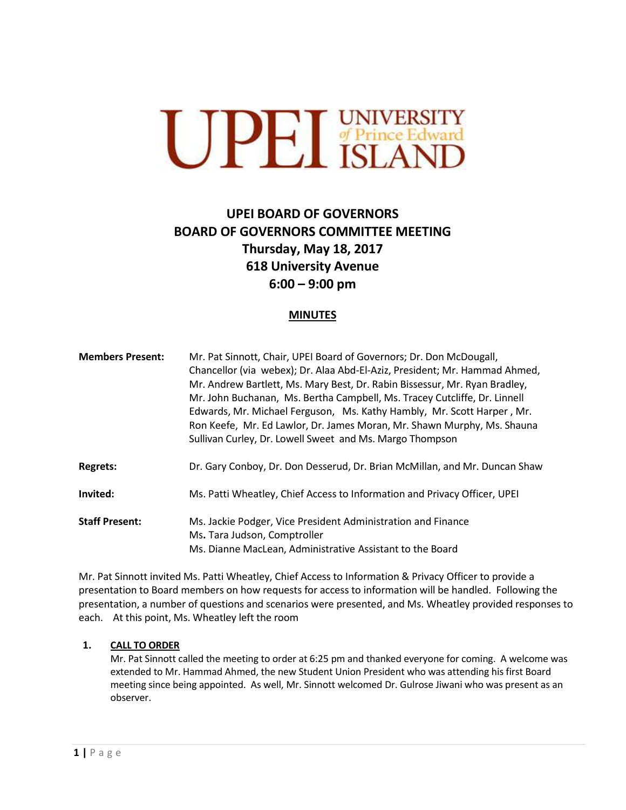

# **UPEI BOARD OF GOVERNORS BOARD OF GOVERNORS COMMITTEE MEETING Thursday, May 18, 2017 618 University Avenue 6:00 – 9:00 pm**

# **MINUTES**

| <b>Members Present:</b> | Mr. Pat Sinnott, Chair, UPEI Board of Governors; Dr. Don McDougall,<br>Chancellor (via webex); Dr. Alaa Abd-El-Aziz, President; Mr. Hammad Ahmed,<br>Mr. Andrew Bartlett, Ms. Mary Best, Dr. Rabin Bissessur, Mr. Ryan Bradley,<br>Mr. John Buchanan, Ms. Bertha Campbell, Ms. Tracey Cutcliffe, Dr. Linnell<br>Edwards, Mr. Michael Ferguson, Ms. Kathy Hambly, Mr. Scott Harper, Mr.<br>Ron Keefe, Mr. Ed Lawlor, Dr. James Moran, Mr. Shawn Murphy, Ms. Shauna<br>Sullivan Curley, Dr. Lowell Sweet and Ms. Margo Thompson |
|-------------------------|-------------------------------------------------------------------------------------------------------------------------------------------------------------------------------------------------------------------------------------------------------------------------------------------------------------------------------------------------------------------------------------------------------------------------------------------------------------------------------------------------------------------------------|
| <b>Regrets:</b>         | Dr. Gary Conboy, Dr. Don Desserud, Dr. Brian McMillan, and Mr. Duncan Shaw                                                                                                                                                                                                                                                                                                                                                                                                                                                    |
| Invited:                | Ms. Patti Wheatley, Chief Access to Information and Privacy Officer, UPEI                                                                                                                                                                                                                                                                                                                                                                                                                                                     |
| <b>Staff Present:</b>   | Ms. Jackie Podger, Vice President Administration and Finance<br>Ms. Tara Judson, Comptroller<br>Ms. Dianne MacLean, Administrative Assistant to the Board                                                                                                                                                                                                                                                                                                                                                                     |

Mr. Pat Sinnott invited Ms. Patti Wheatley, Chief Access to Information & Privacy Officer to provide a presentation to Board members on how requests for access to information will be handled. Following the presentation, a number of questions and scenarios were presented, and Ms. Wheatley provided responses to each. At this point, Ms. Wheatley left the room

#### **1. CALL TO ORDER**

Mr. Pat Sinnott called the meeting to order at 6:25 pm and thanked everyone for coming. A welcome was extended to Mr. Hammad Ahmed, the new Student Union President who was attending his first Board meeting since being appointed. As well, Mr. Sinnott welcomed Dr. Gulrose Jiwani who was present as an observer.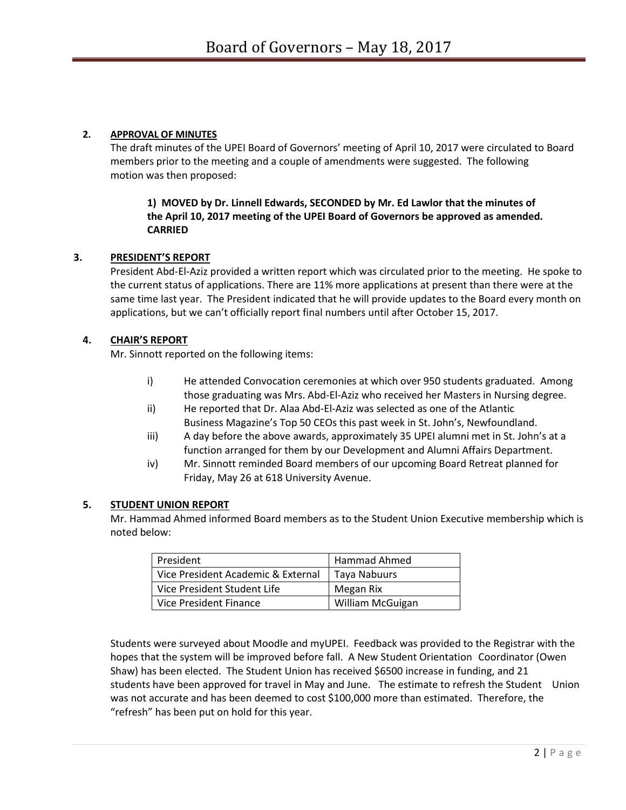## **2. APPROVAL OF MINUTES**

The draft minutes of the UPEI Board of Governors' meeting of April 10, 2017 were circulated to Board members prior to the meeting and a couple of amendments were suggested. The following motion was then proposed:

## **1) MOVED by Dr. Linnell Edwards, SECONDED by Mr. Ed Lawlor that the minutes of the April 10, 2017 meeting of the UPEI Board of Governors be approved as amended. CARRIED**

## **3. PRESIDENT'S REPORT**

President Abd-El-Aziz provided a written report which was circulated prior to the meeting. He spoke to the current status of applications. There are 11% more applications at present than there were at the same time last year. The President indicated that he will provide updates to the Board every month on applications, but we can't officially report final numbers until after October 15, 2017.

## **4. CHAIR'S REPORT**

Mr. Sinnott reported on the following items:

- i) He attended Convocation ceremonies at which over 950 students graduated. Among those graduating was Mrs. Abd-El-Aziz who received her Masters in Nursing degree.
- ii) He reported that Dr. Alaa Abd-El-Aziz was selected as one of the Atlantic Business Magazine's Top 50 CEOs this past week in St. John's, Newfoundland.
- iii) A day before the above awards, approximately 35 UPEI alumni met in St. John's at a function arranged for them by our Development and Alumni Affairs Department.
- iv) Mr. Sinnott reminded Board members of our upcoming Board Retreat planned for Friday, May 26 at 618 University Avenue.

#### **5. STUDENT UNION REPORT**

Mr. Hammad Ahmed informed Board members as to the Student Union Executive membership which is noted below:

| President                          | Hammad Ahmed     |
|------------------------------------|------------------|
| Vice President Academic & External | Taya Nabuurs     |
| Vice President Student Life        | Megan Rix        |
| Vice President Finance             | William McGuigan |

Students were surveyed about Moodle and myUPEI. Feedback was provided to the Registrar with the hopes that the system will be improved before fall. A New Student Orientation Coordinator (Owen Shaw) has been elected. The Student Union has received \$6500 increase in funding, and 21 students have been approved for travel in May and June. The estimate to refresh the Student Union was not accurate and has been deemed to cost \$100,000 more than estimated. Therefore, the "refresh" has been put on hold for this year.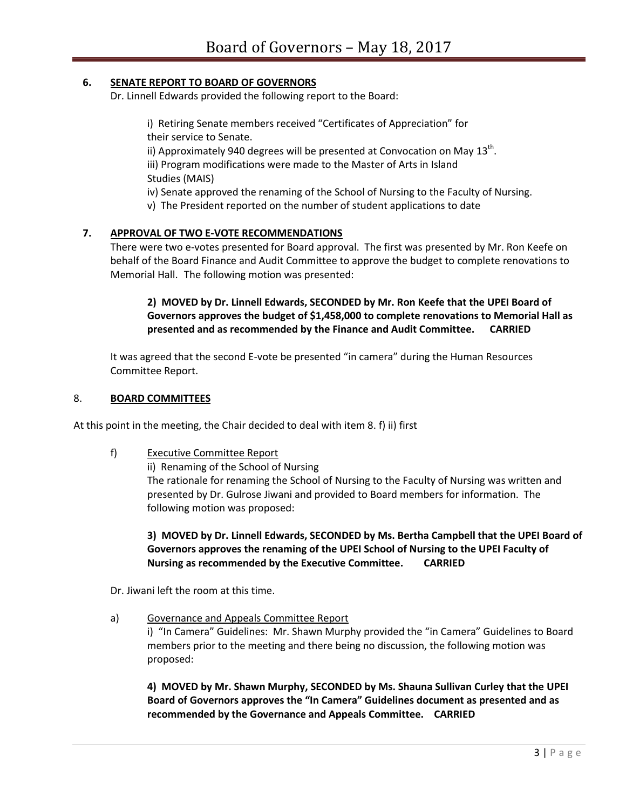## **6. SENATE REPORT TO BOARD OF GOVERNORS**

Dr. Linnell Edwards provided the following report to the Board:

i) Retiring Senate members received "Certificates of Appreciation" for their service to Senate. ii) Approximately 940 degrees will be presented at Convocation on May 13<sup>th</sup>. iii) Program modifications were made to the Master of Arts in Island Studies (MAIS) iv) Senate approved the renaming of the School of Nursing to the Faculty of Nursing. v) The President reported on the number of student applications to date

## **7. APPROVAL OF TWO E-VOTE RECOMMENDATIONS**

There were two e-votes presented for Board approval. The first was presented by Mr. Ron Keefe on behalf of the Board Finance and Audit Committee to approve the budget to complete renovations to Memorial Hall. The following motion was presented:

**2) MOVED by Dr. Linnell Edwards, SECONDED by Mr. Ron Keefe that the UPEI Board of Governors approves the budget of \$1,458,000 to complete renovations to Memorial Hall as presented and as recommended by the Finance and Audit Committee. CARRIED**

It was agreed that the second E-vote be presented "in camera" during the Human Resources Committee Report.

#### 8. **BOARD COMMITTEES**

At this point in the meeting, the Chair decided to deal with item 8. f) ii) first

f) Executive Committee Report

ii) Renaming of the School of Nursing The rationale for renaming the School of Nursing to the Faculty of Nursing was written and presented by Dr. Gulrose Jiwani and provided to Board members for information. The following motion was proposed:

**3) MOVED by Dr. Linnell Edwards, SECONDED by Ms. Bertha Campbell that the UPEI Board of Governors approves the renaming of the UPEI School of Nursing to the UPEI Faculty of Nursing as recommended by the Executive Committee. CARRIED**

Dr. Jiwani left the room at this time.

#### a) Governance and Appeals Committee Report

i) "In Camera" Guidelines: Mr. Shawn Murphy provided the "in Camera" Guidelines to Board members prior to the meeting and there being no discussion, the following motion was proposed:

**4) MOVED by Mr. Shawn Murphy, SECONDED by Ms. Shauna Sullivan Curley that the UPEI Board of Governors approves the "In Camera" Guidelines document as presented and as recommended by the Governance and Appeals Committee. CARRIED**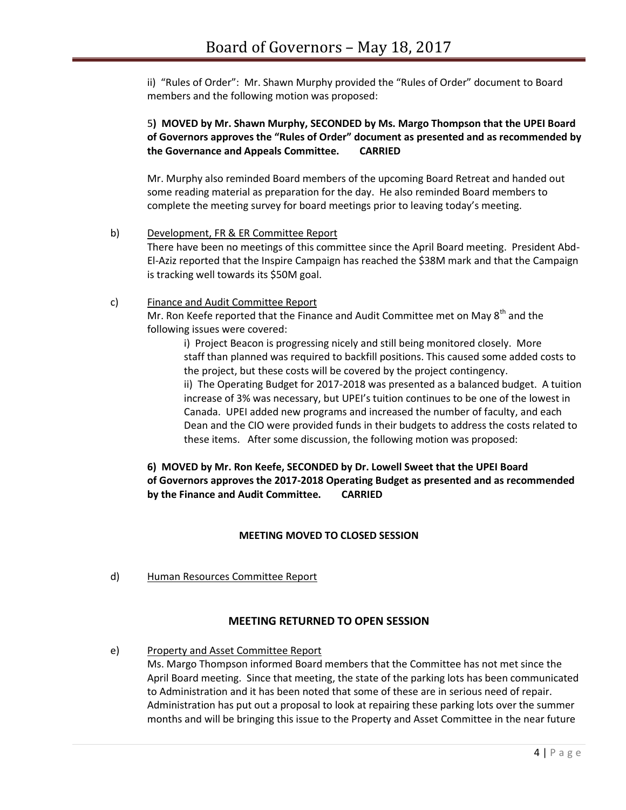ii) "Rules of Order": Mr. Shawn Murphy provided the "Rules of Order" document to Board members and the following motion was proposed:

## 5**) MOVED by Mr. Shawn Murphy, SECONDED by Ms. Margo Thompson that the UPEI Board of Governors approves the "Rules of Order" document as presented and as recommended by the Governance and Appeals Committee. CARRIED**

Mr. Murphy also reminded Board members of the upcoming Board Retreat and handed out some reading material as preparation for the day. He also reminded Board members to complete the meeting survey for board meetings prior to leaving today's meeting.

b) Development, FR & ER Committee Report There have been no meetings of this committee since the April Board meeting. President Abd-El-Aziz reported that the Inspire Campaign has reached the \$38M mark and that the Campaign is tracking well towards its \$50M goal.

# c) Finance and Audit Committee Report

Mr. Ron Keefe reported that the Finance and Audit Committee met on May  $8^{th}$  and the following issues were covered:

i) Project Beacon is progressing nicely and still being monitored closely. More staff than planned was required to backfill positions. This caused some added costs to the project, but these costs will be covered by the project contingency. ii) The Operating Budget for 2017-2018 was presented as a balanced budget. A tuition increase of 3% was necessary, but UPEI's tuition continues to be one of the lowest in Canada. UPEI added new programs and increased the number of faculty, and each Dean and the CIO were provided funds in their budgets to address the costs related to these items. After some discussion, the following motion was proposed:

# **6) MOVED by Mr. Ron Keefe, SECONDED by Dr. Lowell Sweet that the UPEI Board of Governors approves the 2017-2018 Operating Budget as presented and as recommended by the Finance and Audit Committee. CARRIED**

#### **MEETING MOVED TO CLOSED SESSION**

d) Human Resources Committee Report

## **MEETING RETURNED TO OPEN SESSION**

e) Property and Asset Committee Report

Ms. Margo Thompson informed Board members that the Committee has not met since the April Board meeting. Since that meeting, the state of the parking lots has been communicated to Administration and it has been noted that some of these are in serious need of repair. Administration has put out a proposal to look at repairing these parking lots over the summer months and will be bringing this issue to the Property and Asset Committee in the near future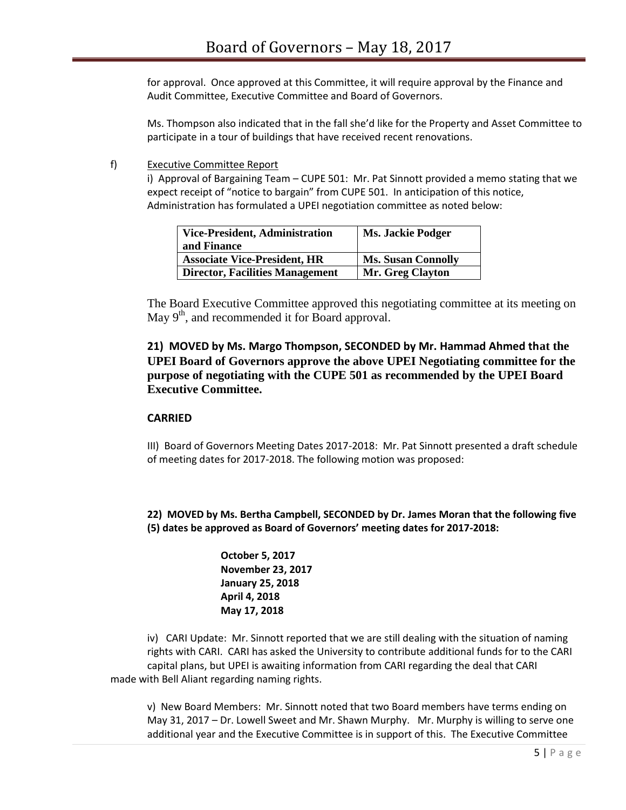for approval. Once approved at this Committee, it will require approval by the Finance and Audit Committee, Executive Committee and Board of Governors.

Ms. Thompson also indicated that in the fall she'd like for the Property and Asset Committee to participate in a tour of buildings that have received recent renovations.

f) Executive Committee Report

i) Approval of Bargaining Team – CUPE 501: Mr. Pat Sinnott provided a memo stating that we expect receipt of "notice to bargain" from CUPE 501. In anticipation of this notice, Administration has formulated a UPEI negotiation committee as noted below:

| <b>Vice-President, Administration</b>  | <b>Ms. Jackie Podger</b>  |
|----------------------------------------|---------------------------|
| and Finance                            |                           |
| <b>Associate Vice-President, HR</b>    | <b>Ms. Susan Connolly</b> |
| <b>Director, Facilities Management</b> | <b>Mr. Greg Clayton</b>   |

The Board Executive Committee approved this negotiating committee at its meeting on May 9<sup>th</sup>, and recommended it for Board approval.

# **21) MOVED by Ms. Margo Thompson, SECONDED by Mr. Hammad Ahmed that the UPEI Board of Governors approve the above UPEI Negotiating committee for the purpose of negotiating with the CUPE 501 as recommended by the UPEI Board Executive Committee.**

#### **CARRIED**

III) Board of Governors Meeting Dates 2017-2018: Mr. Pat Sinnott presented a draft schedule of meeting dates for 2017-2018. The following motion was proposed:

**22) MOVED by Ms. Bertha Campbell, SECONDED by Dr. James Moran that the following five (5) dates be approved as Board of Governors' meeting dates for 2017-2018:**

> **October 5, 2017 November 23, 2017 January 25, 2018 April 4, 2018 May 17, 2018**

iv) CARI Update: Mr. Sinnott reported that we are still dealing with the situation of naming rights with CARI. CARI has asked the University to contribute additional funds for to the CARI capital plans, but UPEI is awaiting information from CARI regarding the deal that CARI made with Bell Aliant regarding naming rights.

v) New Board Members: Mr. Sinnott noted that two Board members have terms ending on May 31, 2017 – Dr. Lowell Sweet and Mr. Shawn Murphy. Mr. Murphy is willing to serve one additional year and the Executive Committee is in support of this. The Executive Committee